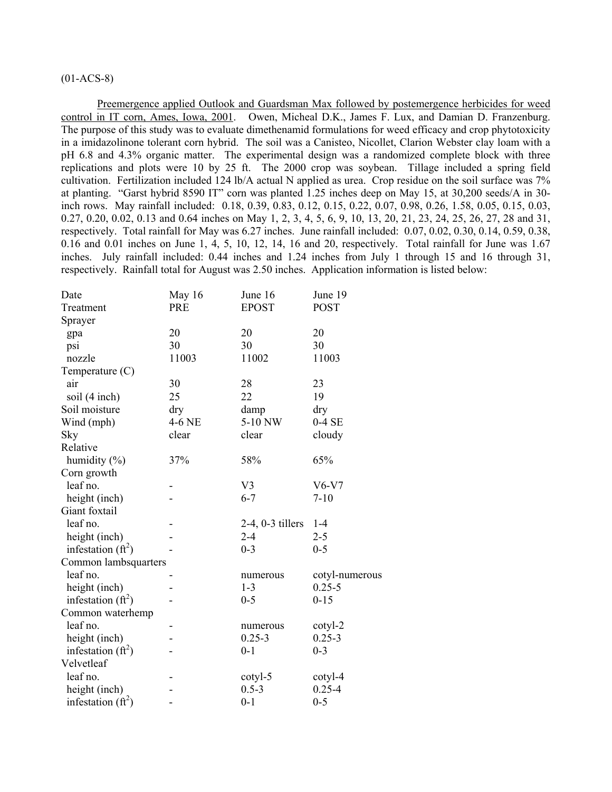# (01-ACS-8)

Preemergence applied Outlook and Guardsman Max followed by postemergence herbicides for weed control in IT corn, Ames, Iowa, 2001. Owen, Micheal D.K., James F. Lux, and Damian D. Franzenburg. The purpose of this study was to evaluate dimethenamid formulations for weed efficacy and crop phytotoxicity in a imidazolinone tolerant corn hybrid. The soil was a Canisteo, Nicollet, Clarion Webster clay loam with a pH 6.8 and 4.3% organic matter. The experimental design was a randomized complete block with three replications and plots were 10 by 25 ft. The 2000 crop was soybean. Tillage included a spring field cultivation. Fertilization included 124 lb/A actual N applied as urea. Crop residue on the soil surface was 7% at planting. "Garst hybrid 8590 IT" corn was planted 1.25 inches deep on May 15, at 30,200 seeds/A in 30 inch rows. May rainfall included: 0.18, 0.39, 0.83, 0.12, 0.15, 0.22, 0.07, 0.98, 0.26, 1.58, 0.05, 0.15, 0.03, 0.27, 0.20, 0.02, 0.13 and 0.64 inches on May 1, 2, 3, 4, 5, 6, 9, 10, 13, 20, 21, 23, 24, 25, 26, 27, 28 and 31, respectively. Total rainfall for May was 6.27 inches. June rainfall included: 0.07, 0.02, 0.30, 0.14, 0.59, 0.38, 0.16 and 0.01 inches on June 1, 4, 5, 10, 12, 14, 16 and 20, respectively. Total rainfall for June was 1.67 inches. July rainfall included: 0.44 inches and 1.24 inches from July 1 through 15 and 16 through 31, respectively. Rainfall total for August was 2.50 inches. Application information is listed below:

| Date                 | May 16     | June 16               | June 19        |
|----------------------|------------|-----------------------|----------------|
| Treatment            | <b>PRE</b> | <b>EPOST</b>          | <b>POST</b>    |
| Sprayer              |            |                       |                |
| gpa                  | 20         | 20                    | 20             |
| psi                  | 30         | 30                    | 30             |
| nozzle               | 11003      | 11002                 | 11003          |
| Temperature $(C)$    |            |                       |                |
| air                  | 30         | 28                    | 23             |
| soil (4 inch)        | 25         | 22                    | 19             |
| Soil moisture        | dry        | damp                  | dry            |
| Wind (mph)           | 4-6 NE     | 5-10 NW               | $0-4SE$        |
| Sky                  | clear      | clear                 | cloudy         |
| Relative             |            |                       |                |
| humidity $(\% )$     | 37%        | 58%                   | 65%            |
| Corn growth          |            |                       |                |
| leaf no.             |            | V <sub>3</sub>        | $V6-V7$        |
| height (inch)        |            | $6 - 7$               | $7 - 10$       |
| Giant foxtail        |            |                       |                |
| leaf no.             |            | $2-4$ , $0-3$ tillers | $1-4$          |
| height (inch)        |            | $2 - 4$               | $2 - 5$        |
| infestation $(ft^2)$ |            | $0 - 3$               | $0 - 5$        |
| Common lambsquarters |            |                       |                |
| leaf no.             |            | numerous              | cotyl-numerous |
| height (inch)        |            | $1 - 3$               | $0.25 - 5$     |
| infestation $(ft^2)$ |            | $0 - 5$               | $0 - 15$       |
| Common waterhemp     |            |                       |                |
| leaf no.             |            | numerous              | cotyl-2        |
| height (inch)        |            | $0.25 - 3$            | $0.25 - 3$     |
| infestation $(ft^2)$ |            | $0 - 1$               | $0 - 3$        |
| Velvetleaf           |            |                       |                |
| leaf no.             |            | cotyl-5               | cotyl-4        |
| height (inch)        |            | $0.5 - 3$             | $0.25 - 4$     |
| infestation $(ft^2)$ |            | $0 - 1$               | $0 - 5$        |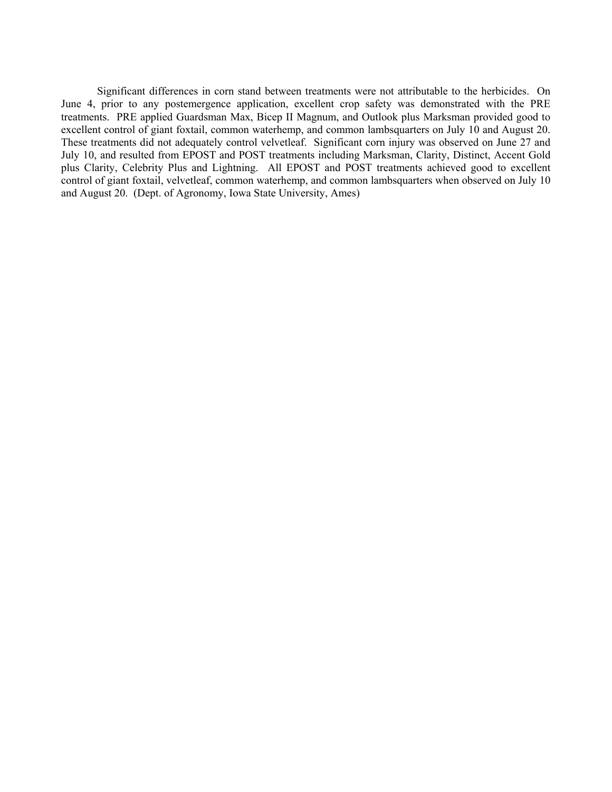Significant differences in corn stand between treatments were not attributable to the herbicides. On June 4, prior to any postemergence application, excellent crop safety was demonstrated with the PRE treatments. PRE applied Guardsman Max, Bicep II Magnum, and Outlook plus Marksman provided good to excellent control of giant foxtail, common waterhemp, and common lambsquarters on July 10 and August 20. These treatments did not adequately control velvetleaf. Significant corn injury was observed on June 27 and July 10, and resulted from EPOST and POST treatments including Marksman, Clarity, Distinct, Accent Gold plus Clarity, Celebrity Plus and Lightning. All EPOST and POST treatments achieved good to excellent control of giant foxtail, velvetleaf, common waterhemp, and common lambsquarters when observed on July 10 and August 20. (Dept. of Agronomy, Iowa State University, Ames)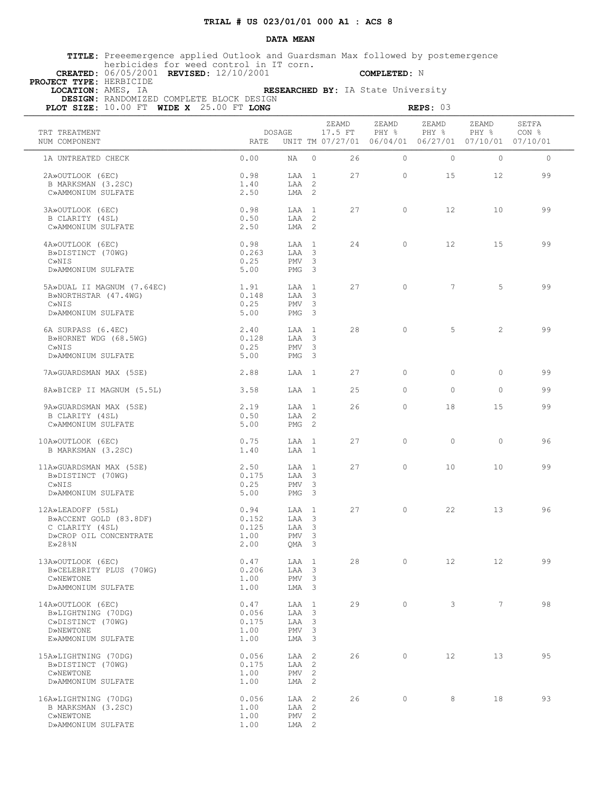### **DATA MEAN**

 **TITLE:** Preeemergence applied Outlook and Guardsman Max followed by postemergence herbicides for weed control in IT corn.  **CREATED:** 06/05/2001 **REVISED:** 12/10/2001 **COMPLETED:** N

 **PROJECT TYPE:** HERBICIDE

 **LOCATION:** AMES, IA **RESEARCHED BY:** IA State University  **DESIGN:** RANDOMIZED COMPLETE BLOCK DESIGN

| PLOT SIZE: 10.00 FT WIDE X 25.00 FT LONG                                                           |                                        |                                                        |                                                    |                  |                | REPS: 03                                                               |                 |                |
|----------------------------------------------------------------------------------------------------|----------------------------------------|--------------------------------------------------------|----------------------------------------------------|------------------|----------------|------------------------------------------------------------------------|-----------------|----------------|
| TRT TREATMENT<br>NUM COMPONENT                                                                     | DOSAGE<br>RATE                         |                                                        |                                                    | ZEAMD<br>17.5 FT | ZEAMD<br>PHY % | ZEAMD<br>PHY %<br>UNIT TM 07/27/01 06/04/01 06/27/01 07/10/01 07/10/01 | ZEAMD<br>PHY %  | SETFA<br>CON % |
| 1A UNTREATED CHECK                                                                                 | 0.00                                   | NA                                                     | $\Omega$                                           | 26               | $\Omega$       | $\circ$                                                                | $\Omega$        | $\circ$        |
| 2A»OUTLOOK (6EC)<br>B MARKSMAN (3.2SC)<br>C»AMMONIUM SULFATE                                       | 0.98<br>1.40<br>2.50                   | LAA 1<br>LAA<br>LMA 2                                  | 2                                                  | 27               | $\circ$        | 15                                                                     | 12              | 99             |
| 3A»OUTLOOK (6EC)<br>B CLARITY (4SL)<br>C»AMMONIUM SULFATE                                          | 0.98<br>0.50<br>2.50                   | $T.A.A$ 1<br>LAA 2<br>LMA 2                            |                                                    | 27               | $\circ$        | 12 <sup>°</sup>                                                        | 10              | 99             |
| 4A»OUTLOOK (6EC)<br>B»DISTINCT (70WG)<br>C»NIS<br>D»AMMONIUM SULFATE                               | 0.98<br>0.263<br>0.25<br>5.00          | LAA 1<br>LAA 3<br>PMV <sub>3</sub><br>PMG <sub>3</sub> |                                                    | 24               | $\circ$        | $12 \overline{ }$                                                      | 15              | 99             |
| 5A»DUAL II MAGNUM (7.64EC)<br>B»NORTHSTAR (47.4WG)<br>C»NIS<br>D»AMMONIUM SULFATE                  | 1.91<br>0.148<br>0.25<br>5.00          | LAA 1<br>LAA 3<br>PMV<br>PMG                           | 3<br>$\overline{\mathbf{3}}$                       | 27               | $\Omega$       | $7\overline{ }$                                                        | 5               | 99             |
| 6A SURPASS (6.4EC)<br>B»HORNET WDG (68.5WG)<br>C»NIS<br>D»AMMONIUM SULFATE                         | 2.40<br>0.128<br>0.25<br>5.00          | LAA 1<br>LAA 3<br>PMV <sub>3</sub><br>PMG              | $\overline{\mathbf{3}}$                            | 28               | $\Omega$       | 5                                                                      | $\overline{2}$  | 99             |
| 7A»GUARDSMAN MAX (5SE)                                                                             | 2.88                                   | LAA 1                                                  |                                                    | 27               | $\circ$        | $\circ$                                                                | $\circ$         | 99             |
| 8A»BICEP II MAGNUM (5.5L)                                                                          | 3.58                                   | LAA 1                                                  |                                                    | 25               | $\Omega$       | $\Omega$                                                               | $\Omega$        | 99             |
| 9A»GUARDSMAN MAX (5SE)<br>B CLARITY (4SL)<br>C»AMMONIUM SULFATE                                    | 2.19<br>0.50<br>5.00                   | LAA 1<br>LAA 2<br>PMG <sub>2</sub>                     |                                                    | 26               | $\Omega$       | 18                                                                     | 15              | 99             |
| 10A»OUTLOOK (6EC)<br>B MARKSMAN (3.2SC)                                                            | 0.75<br>1.40                           | LAA<br>LAA 1                                           | $\overline{1}$                                     | 27               | $\Omega$       | $\circ$                                                                | $\Omega$        | 96             |
| 11A»GUARDSMAN MAX (5SE)<br>B»DISTINCT (70WG)<br>C»NIS<br>D»AMMONIUM SULFATE                        | 2.50<br>0.175<br>0.25<br>5.00          | LAA 1<br>LAA 3<br>PMV<br>PMG                           | $\overline{\mathbf{3}}$<br>$\overline{\mathbf{3}}$ | 27               | $\circ$        | 10                                                                     | 10              | 99             |
| 12A»LEADOFF (5SL)<br>B»ACCENT GOLD (83.8DF)<br>C CLARITY (4SL)<br>D»CROP OIL CONCENTRATE<br>E>28%N | 0.94<br>0.152<br>0.125<br>1.00<br>2.00 | LAA 1<br>LAA 3<br>LAA 3<br>PMV<br>QMA 3                | $\overline{\mathbf{3}}$                            | 27               | $\circ$        | 22                                                                     | 13              | 96             |
| 13A»OUTLOOK (6EC)<br>B»CELEBRITY PLUS (70WG)<br>C»NEWTONE<br>D»AMMONIUM SULFATE                    | 0.47<br>0.206<br>1.00<br>1.00          | LAA 1<br>LAA<br>PMV<br>LMA 3                           | $\overline{\mathbf{3}}$<br>3                       | 28               | $\circ$        | 12 <sup>°</sup>                                                        | $12 \,$         | 99             |
| 14A»OUTLOOK (6EC)<br>B»LIGHTNING (70DG)<br>C»DISTINCT (70WG)<br>D»NEWTONE<br>E»AMMONIUM SULFATE    | 0.47<br>0.056<br>0.175<br>1.00<br>1.00 | LAA<br>LAA 3<br>LAA<br>PMV <sub>3</sub><br>LMA 3       | $\overline{1}$<br>$\overline{\mathbf{3}}$          | 29               | $\circ$        | 3                                                                      | $7\overline{ }$ | 98             |
| 15A»LIGHTNING (70DG)<br>B»DISTINCT (70WG)<br>C»NEWTONE<br>D»AMMONIUM SULFATE                       | 0.056<br>0.175<br>1.00<br>1.00         | LAA<br>LAA<br>PMV<br>LMA 2                             | $\overline{2}$<br>2<br>2                           | 26               | $\circ$        | 12                                                                     | 13              | 95             |
| 16A»LIGHTNING (70DG)<br>B MARKSMAN (3.2SC)<br>C»NEWTONE<br>D»AMMONIUM SULFATE                      | 0.056<br>1.00<br>1.00<br>1.00          | LAA<br>LAA 2<br>PMV<br>LMA 2                           | 2<br>$\overline{2}$                                | 26               | $\circ$        | 8                                                                      | 18              | 93             |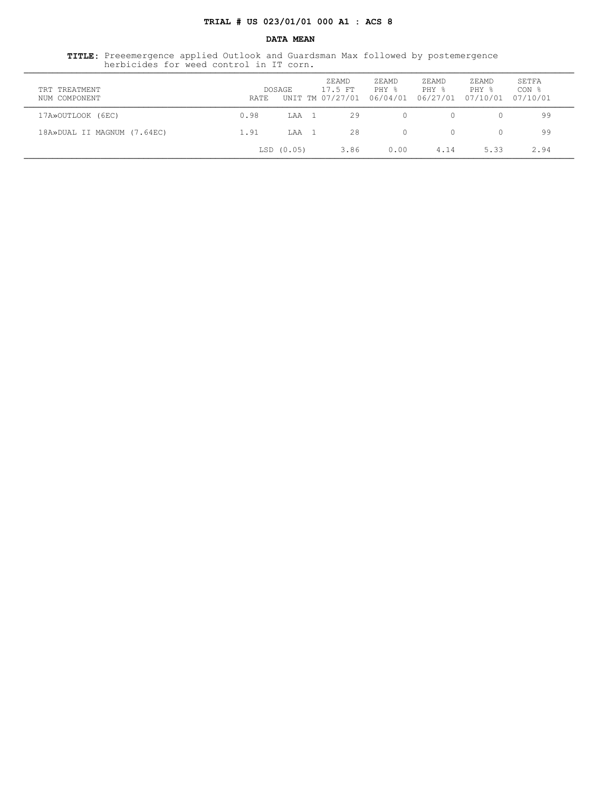### **DATA MEAN**

 **TITLE:** Preeemergence applied Outlook and Guardsman Max followed by postemergence herbicides for weed control in IT corn. ¶¶¶¶¶¶¶¶¶¶¶¶¶¶¶¶¶¶¶¶¶¶¶¶¶¶¶¶¶¶¶¶¶¶¶¶¶¶¶¶¶¶¶¶¶¶¶¶¶¶¶¶¶¶¶¶¶¶¶¶¶¶¶¶¶¶¶¶¶¶¶¶¶¶¶¶¶¶¶¶¶¶¶¶¶¶¶¶¶¶¶¶¶¶¶¶¶¶¶¶¶¶¶¶¶¶¶¶¶¶¶¶¶¶¶

| TRT TREATMENT<br>NUM COMPONENT | RATE | DOSAGE    | ZEAMD<br>17.5 FT<br>UNIT TM 07/27/01 | ZEAMD<br>PHY %<br>06/04/01 06/27/01 | ZEAMD<br>PHY % | ZEAMD<br>PHY %<br>07/10/01 | SETFA<br>CON <sub>8</sub><br>07/10/01 |  |
|--------------------------------|------|-----------|--------------------------------------|-------------------------------------|----------------|----------------------------|---------------------------------------|--|
| 17A»OUTLOOK (6EC)              | 0.98 | LAA       | 29                                   |                                     | $\Omega$       |                            | 99                                    |  |
| 18A»DUAL II MAGNUM (7.64EC)    | 1.91 | T.AA      | 28                                   | $\Omega$                            | $\Omega$       |                            | 99                                    |  |
|                                |      | LSD(0.05) | 3.86                                 | 0.00                                | 4.14           | 5.33                       | 2.94                                  |  |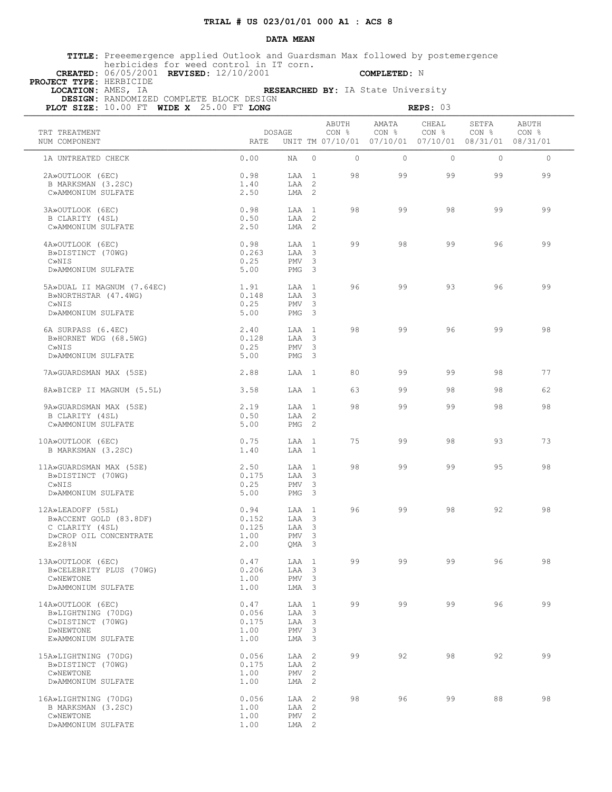### **DATA MEAN**

 **TITLE:** Preeemergence applied Outlook and Guardsman Max followed by postemergence herbicides for weed control in IT corn.  **CREATED:** 06/05/2001 **REVISED:** 12/10/2001 **COMPLETED:** N

 **PROJECT TYPE:** HERBICIDE

 **LOCATION:** AMES, IA **RESEARCHED BY:** IA State University  **DESIGN:** RANDOMIZED COMPLETE BLOCK DESIGN

| PLOT SIZE: 10.00 FT WIDE X 25.00 FT LONG                                                           |                                        |                                              |                                                                                    |                |                | REPS: 03                                                                   |                |                |
|----------------------------------------------------------------------------------------------------|----------------------------------------|----------------------------------------------|------------------------------------------------------------------------------------|----------------|----------------|----------------------------------------------------------------------------|----------------|----------------|
| TRT TREATMENT<br>NUM COMPONENT                                                                     | DOSAGE<br>RATE                         |                                              |                                                                                    | ABUTH<br>CON % | AMATA<br>CON % | CHEAL<br>CON %<br>UNIT TM 07/10/01  07/10/01  07/10/01  08/31/01  08/31/01 | SETFA<br>CON % | ABUTH<br>CON % |
| 1A UNTREATED CHECK                                                                                 | 0.00                                   | NA                                           | $\Omega$                                                                           | $\circ$        | $\Omega$       | $\circ$                                                                    | $\Omega$       | $\circ$        |
| 2A»OUTLOOK (6EC)<br>B MARKSMAN (3.2SC)<br>C»AMMONIUM SULFATE                                       | 0.98<br>1.40<br>2.50                   | LAA 1<br>LAA<br>LMA <sub>2</sub>             | 2                                                                                  | 98             | 99             | 99                                                                         | 99             | 99             |
| 3A»OUTLOOK (6EC)<br>B CLARITY (4SL)<br>C»AMMONIUM SULFATE                                          | 0.98<br>0.50<br>2.50                   | $T.A.A$ 1<br>LAA 2<br>LMA 2                  |                                                                                    | 98             | 99             | 98                                                                         | 99             | 99             |
| 4A»OUTLOOK (6EC)<br>B»DISTINCT (70WG)<br>C»NIS<br>D»AMMONIUM SULFATE                               | 0.98<br>0.263<br>0.25<br>5.00          | LAA 1<br>LAA 3<br>PMV<br>PMG <sub>3</sub>    | $\overline{\mathbf{3}}$                                                            | 99             | 98             | 99                                                                         | 96             | 99             |
| 5A»DUAL II MAGNUM (7.64EC)<br>B»NORTHSTAR (47.4WG)<br>C»NTS<br>D»AMMONIUM SULFATE                  | 1.91<br>0.148<br>0.25<br>5.00          | LAA 1<br>LAA 3<br><b>PMV</b><br>PMG          | 3<br>$\overline{\mathbf{3}}$                                                       | 96             | 99             | 93                                                                         | 96             | 99             |
| 6A SURPASS (6.4EC)<br>B»HORNET WDG (68.5WG)<br>C»NIS<br>D»AMMONIUM SULFATE                         | 2.40<br>0.128<br>0.25<br>5.00          | LAA 1<br>LAA<br>PMV<br>PMG                   | $\overline{\mathbf{3}}$<br>$\overline{\mathbf{3}}$<br>$\overline{\mathbf{3}}$      | 98             | 99             | 96                                                                         | 99             | 98             |
| 7A» GUARDSMAN MAX (5SE)                                                                            | 2.88                                   | LAA 1                                        |                                                                                    | 80             | 99             | 99                                                                         | 98             | 77             |
| 8A»BICEP II MAGNUM (5.5L)                                                                          | 3.58                                   | LAA 1                                        |                                                                                    | 63             | 99             | 98                                                                         | 98             | 62             |
| 9A»GUARDSMAN MAX (5SE)<br>B CLARITY (4SL)<br>C»AMMONIUM SULFATE                                    | 2.19<br>0.50<br>5.00                   | LAA 1<br>LAA 2<br>PMG <sub>2</sub>           |                                                                                    | 98             | 99             | 99                                                                         | 98             | 98             |
| 10A»OUTLOOK (6EC)<br>B MARKSMAN (3.2SC)                                                            | 0.75<br>1.40                           | LAA<br>LAA 1                                 | $\overline{1}$                                                                     | 75             | 99             | 98                                                                         | 93             | 73             |
| 11A»GUARDSMAN MAX (5SE)<br>B»DISTINCT (70WG)<br>C»NIS<br>D»AMMONIUM SULFATE                        | 2.50<br>0.175<br>0.25<br>5.00          | LAA 1<br>LAA 3<br>PMV<br>PMG                 | 3<br>$\overline{\mathbf{3}}$                                                       | 98             | 99             | 99                                                                         | 95             | 98             |
| 12A»LEADOFF (5SL)<br>B»ACCENT GOLD (83.8DF)<br>C CLARITY (4SL)<br>D»CROP OIL CONCENTRATE<br>E>28%N | 0.94<br>0.152<br>0.125<br>1.00<br>2.00 | LAA 1<br>LAA 3<br>LAA 3<br>PMV<br>QMA 3      | $\overline{\mathbf{3}}$                                                            | 96             | 99             | 98                                                                         | 92             | 98             |
| 13A»OUTLOOK (6EC)<br>B»CELEBRITY PLUS (70WG)<br>C»NEWTONE<br>D»AMMONIUM SULFATE                    | 0.47<br>0.206<br>1.00<br>1.00          | LAA<br>LAA<br>PMV<br>LMA 3                   | $\overline{1}$<br>3<br>3                                                           | 99             | 99             | 99                                                                         | 96             | 98             |
| 14A»OUTLOOK (6EC)<br>B»LIGHTNING (70DG)<br>C»DISTINCT (70WG)<br>D»NEWTONE<br>E»AMMONIUM SULFATE    | 0.47<br>0.056<br>0.175<br>1.00<br>1.00 | LAA<br>LAA<br>LAA<br>PMV <sub>3</sub><br>LMA | 1<br>$\overline{\mathbf{3}}$<br>$\overline{\mathbf{3}}$<br>$\overline{\mathbf{3}}$ | 99             | 99             | 99                                                                         | 96             | 99             |
| 15A»LIGHTNING (70DG)<br>B»DISTINCT (70WG)<br>C»NEWTONE<br>D»AMMONIUM SULFATE                       | 0.056<br>0.175<br>1.00<br>1.00         | LAA<br>LAA<br>PMV<br>LMA                     | -2<br>$\overline{2}$<br>$\overline{c}$<br>$\overline{2}$                           | 99             | 92             | 98                                                                         | 92             | 99             |
| 16A»LIGHTNING (70DG)<br>B MARKSMAN (3.2SC)<br>C»NEWTONE<br>D»AMMONIUM SULFATE                      | 0.056<br>1.00<br>1.00<br>1.00          | LAA<br>LAA<br>PMV<br>LMA 2                   | 2<br>2<br>2                                                                        | 98             | 96             | 99                                                                         | 88             | 98             |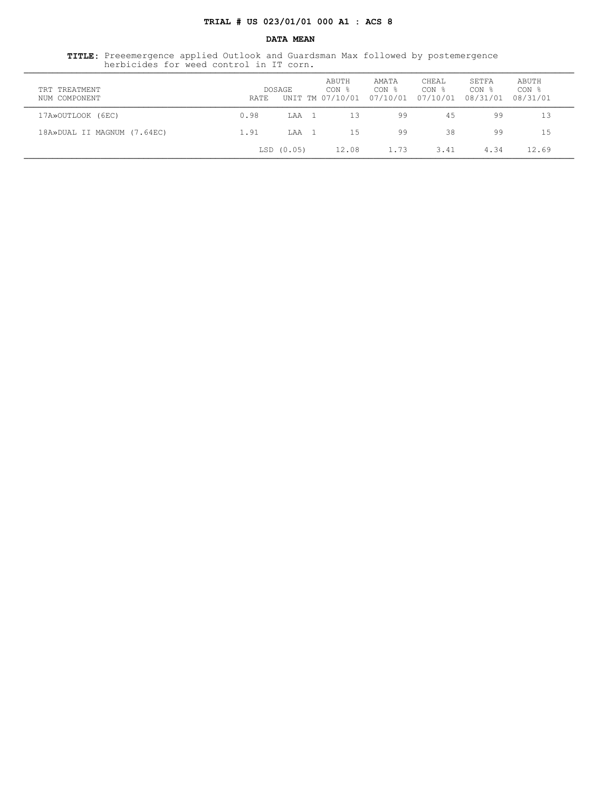### **DATA MEAN**

 **TITLE:** Preeemergence applied Outlook and Guardsman Max followed by postemergence herbicides for weed control in IT corn. ¶¶¶¶¶¶¶¶¶¶¶¶¶¶¶¶¶¶¶¶¶¶¶¶¶¶¶¶¶¶¶¶¶¶¶¶¶¶¶¶¶¶¶¶¶¶¶¶¶¶¶¶¶¶¶¶¶¶¶¶¶¶¶¶¶¶¶¶¶¶¶¶¶¶¶¶¶¶¶¶¶¶¶¶¶¶¶¶¶¶¶¶¶¶¶¶¶¶¶¶¶¶¶¶¶¶¶¶¶¶¶¶¶¶¶

| TRT TREATMENT<br>NUM COMPONENT | RATE | DOSAGE    | ABUTH<br>CON %<br>UNIT TM 07/10/01 | AMATA<br>CON %<br>07/10/01 07/10/01 | CHEAL<br>CON % | SETFA<br>CON %<br>08/31/01 | ABUTH<br>CON <sub>8</sub><br>08/31/01 |  |
|--------------------------------|------|-----------|------------------------------------|-------------------------------------|----------------|----------------------------|---------------------------------------|--|
| 17A»OUTLOOK (6EC)              | 0.98 | LAA       | 13                                 | 99                                  | 45             | 99                         | 13                                    |  |
| 18A»DUAL II MAGNUM (7.64EC)    | 1.91 | T.AA      | 15                                 | 99                                  | 38             | 99                         | 1.5                                   |  |
|                                |      | LSD(0.05) | 12.08                              | 1.73                                | 3.41           | 4.34                       | 12.69                                 |  |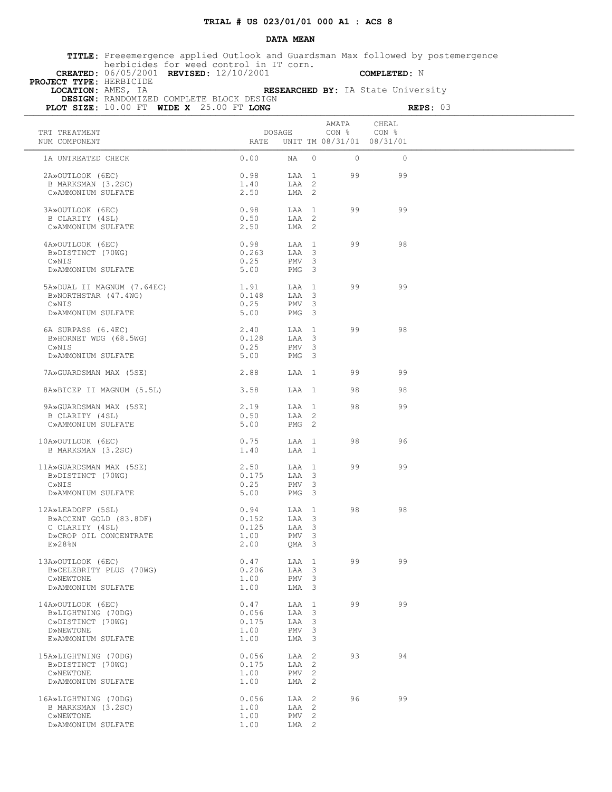### **DATA MEAN**

 **TITLE:** Preeemergence applied Outlook and Guardsman Max followed by postemergence herbicides for weed control in IT corn.  **CREATED:** 06/05/2001 **REVISED:** 12/10/2001 **COMPLETED:** N

 **PROJECT TYPE:** HERBICIDE

 **LOCATION:** AMES, IA **RESEARCHED BY:** IA State University  **DESIGN:** RANDOMIZED COMPLETE BLOCK DESIGN

| PLOT SIZE: 10.00 FT WIDE X 25.00 FT LONG |              |                  |                |                                                        |                | REPS: 03 |
|------------------------------------------|--------------|------------------|----------------|--------------------------------------------------------|----------------|----------|
| TRT TREATMENT<br>NUM COMPONENT           | RATE         | DOSAGE           |                | AMATA<br>CON <sub>8</sub><br>UNIT TM 08/31/01 08/31/01 | CHEAL<br>CON % |          |
| 1A UNTREATED CHECK                       | 0.00         | NA               | $\circ$        | $\circ$                                                | $\mathbf{0}$   |          |
| 2A»OUTLOOK (6EC)                         | 0.98         | LAA 1            |                | 99                                                     | 99             |          |
| B MARKSMAN (3.2SC)<br>C»AMMONIUM SULFATE | 1.40<br>2.50 | LAA 2<br>LMA 2   |                |                                                        |                |          |
|                                          |              |                  |                |                                                        |                |          |
| 3A»OUTLOOK (6EC)<br>B CLARITY (4SL)      | 0.98<br>0.50 | LAA 1<br>LAA 2   |                | 99                                                     | 99             |          |
| C»AMMONIUM SULFATE                       | 2.50         | LMA <sub>2</sub> |                |                                                        |                |          |
| 4A»OUTLOOK (6EC)                         | 0.98         | LAA 1            |                | 99                                                     | 98             |          |
| B»DISTINCT (70WG)                        | 0.263        | LAA 3            |                |                                                        |                |          |
| C»NIS                                    | 0.25         | PMV 3            |                |                                                        |                |          |
| D»AMMONIUM SULFATE                       | 5.00         | PMG 3            |                |                                                        |                |          |
| 5A»DUAL II MAGNUM (7.64EC)               | 1.91         | LAA 1            |                | 99                                                     | 99             |          |
| B»NORTHSTAR (47.4WG)                     | 0.148        | LAA 3            |                |                                                        |                |          |
| C»NIS                                    | 0.25         | PMV <sub>3</sub> |                |                                                        |                |          |
| D»AMMONIUM SULFATE                       | 5.00         | PMG <sub>3</sub> |                |                                                        |                |          |
| 6A SURPASS (6.4EC)                       | 2.40         | LAA 1            |                | 99                                                     | 98             |          |
| B»HORNET WDG (68.5WG)                    | 0.128        | LAA 3            |                |                                                        |                |          |
| C»NIS                                    | 0.25         | PMV <sub>3</sub> |                |                                                        |                |          |
| D»AMMONIUM SULFATE                       | 5.00         | PMG 3            |                |                                                        |                |          |
| 7A» GUARDSMAN MAX (5SE)                  | 2.88         | LAA 1            |                | 99                                                     | 99             |          |
| 8A»BICEP II MAGNUM (5.5L)                | 3.58         | LAA 1            |                | 98                                                     | 98             |          |
| 9A» GUARDSMAN MAX (5SE)                  | 2.19         | LAA 1            |                | 98                                                     | 99             |          |
| B CLARITY (4SL)                          | 0.50         | LAA 2            |                |                                                        |                |          |
| C»AMMONIUM SULFATE                       | 5.00         | PMG <sub>2</sub> |                |                                                        |                |          |
| 10A»OUTLOOK (6EC)                        | 0.75         | LAA 1            |                | 98                                                     | 96             |          |
| B MARKSMAN (3.2SC)                       | 1.40         | LAA 1            |                |                                                        |                |          |
| 11A»GUARDSMAN MAX (5SE)                  | 2.50         | LAA 1            |                | 99                                                     | 99             |          |
| B»DISTINCT (70WG)                        | 0.175        | LAA 3            |                |                                                        |                |          |
| C»NIS                                    | 0.25         | PMV <sub>3</sub> |                |                                                        |                |          |
| D»AMMONIUM SULFATE                       | 5.00         | PMG 3            |                |                                                        |                |          |
| 12A»LEADOFF (5SL)                        | 0.94         | LAA 1            |                | 98                                                     | 98             |          |
| B»ACCENT GOLD (83.8DF)                   | 0.152        | LAA 3            |                |                                                        |                |          |
| C CLARITY (4SL)                          | 0.125        | LAA 3            |                |                                                        |                |          |
| D»CROP OIL CONCENTRATE                   | 1.00         | PMV 3            |                |                                                        |                |          |
| E>28%N                                   | 2.00         | OMA 3            |                |                                                        |                |          |
| 13A»OUTLOOK (6EC)                        | 0.47         | LAA 1            |                | 99                                                     | 99             |          |
| B»CELEBRITY PLUS (70WG)                  | 0.206        | LAA              | 3              |                                                        |                |          |
| C»NEWTONE                                | 1.00         | PMV              | 3              |                                                        |                |          |
| D»AMMONIUM SULFATE                       | 1.00         | LMA 3            |                |                                                        |                |          |
| 14A»OUTLOOK (6EC)                        | 0.47         | LAA              | $\mathbf{1}$   | 99                                                     | 99             |          |
| B»LIGHTNING (70DG)                       | 0.056        | LAA 3            |                |                                                        |                |          |
| C»DISTINCT (70WG)                        | 0.175        | LAA              | 3              |                                                        |                |          |
| D»NEWTONE<br>E»AMMONIUM SULFATE          | 1.00         | PMV 3            |                |                                                        |                |          |
|                                          | 1.00         | LMA              | 3              |                                                        |                |          |
| 15A»LIGHTNING (70DG)                     | 0.056        | LAA 2            |                | 93                                                     | 94             |          |
| B»DISTINCT (70WG)                        | 0.175        | LAA              | 2              |                                                        |                |          |
| C»NEWTONE<br>D»AMMONIUM SULFATE          | 1.00         | PMV              | $\overline{c}$ |                                                        |                |          |
|                                          | 1.00         | LMA              | 2              |                                                        |                |          |
| 16A»LIGHTNING (70DG)                     | 0.056        | LAA              | 2              | 96                                                     | 99             |          |
| B MARKSMAN (3.2SC)                       | 1.00         | LAA              | 2              |                                                        |                |          |
| C»NEWTONE                                | 1.00         | PMV <sub>2</sub> |                |                                                        |                |          |
| D»AMMONIUM SULFATE                       | 1.00         | LMA 2            |                |                                                        |                |          |